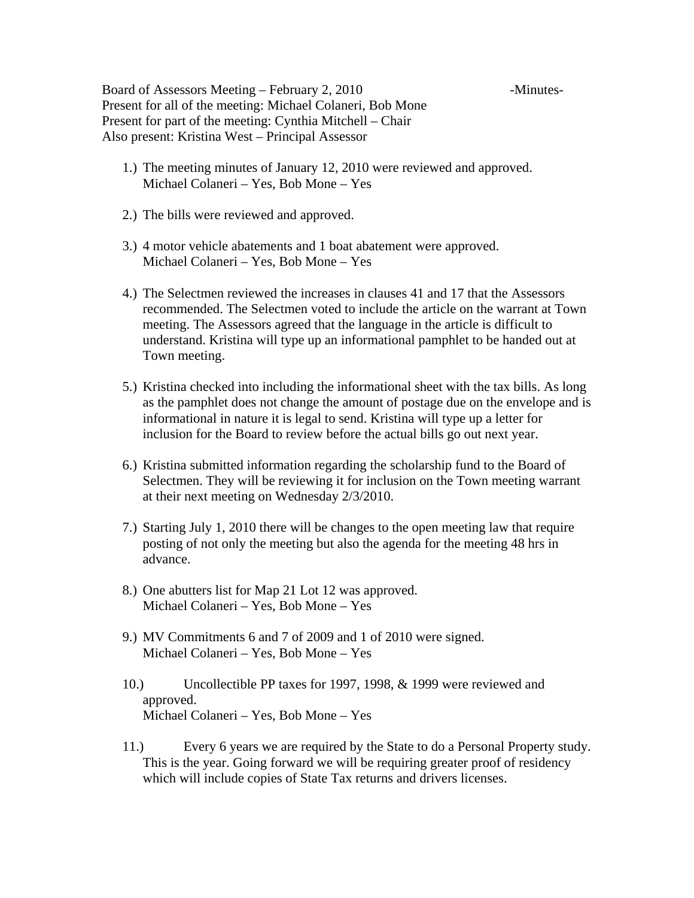Board of Assessors Meeting – February 2, 2010 -Minutes-Present for all of the meeting: Michael Colaneri, Bob Mone Present for part of the meeting: Cynthia Mitchell – Chair Also present: Kristina West – Principal Assessor

- 1.) The meeting minutes of January 12, 2010 were reviewed and approved. Michael Colaneri – Yes, Bob Mone – Yes
- 2.) The bills were reviewed and approved.
- 3.) 4 motor vehicle abatements and 1 boat abatement were approved. Michael Colaneri – Yes, Bob Mone – Yes
- 4.) The Selectmen reviewed the increases in clauses 41 and 17 that the Assessors recommended. The Selectmen voted to include the article on the warrant at Town meeting. The Assessors agreed that the language in the article is difficult to understand. Kristina will type up an informational pamphlet to be handed out at Town meeting.
- 5.) Kristina checked into including the informational sheet with the tax bills. As long as the pamphlet does not change the amount of postage due on the envelope and is informational in nature it is legal to send. Kristina will type up a letter for inclusion for the Board to review before the actual bills go out next year.
- 6.) Kristina submitted information regarding the scholarship fund to the Board of Selectmen. They will be reviewing it for inclusion on the Town meeting warrant at their next meeting on Wednesday 2/3/2010.
- 7.) Starting July 1, 2010 there will be changes to the open meeting law that require posting of not only the meeting but also the agenda for the meeting 48 hrs in advance.
- 8.) One abutters list for Map 21 Lot 12 was approved. Michael Colaneri – Yes, Bob Mone – Yes
- 9.) MV Commitments 6 and 7 of 2009 and 1 of 2010 were signed. Michael Colaneri – Yes, Bob Mone – Yes
- 10.) Uncollectible PP taxes for 1997, 1998, & 1999 were reviewed and approved. Michael Colaneri – Yes, Bob Mone – Yes
- 11.) Every 6 years we are required by the State to do a Personal Property study. This is the year. Going forward we will be requiring greater proof of residency which will include copies of State Tax returns and drivers licenses.